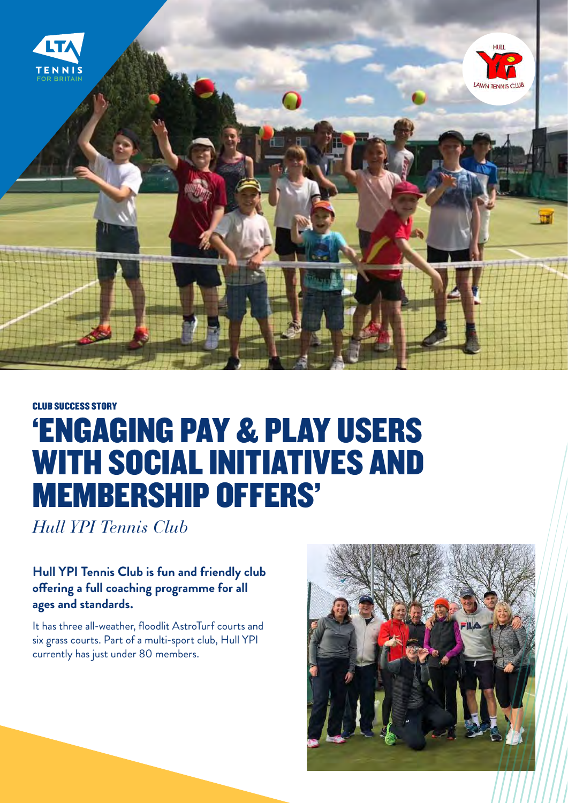

# CLUB SUCCESS STORY 'ENGAGING PAY & PLAY USERS WITH SOCIAL INITIATIVES AND MEMBERSHIP OFFERS'

*Hull YPI Tennis Club*

#### **Hull YPI Tennis Club is fun and friendly club offering a full coaching programme for all ages and standards.**

It has three all-weather, floodlit AstroTurf courts and six grass courts. Part of a multi-sport club, Hull YPI currently has just under 80 members.